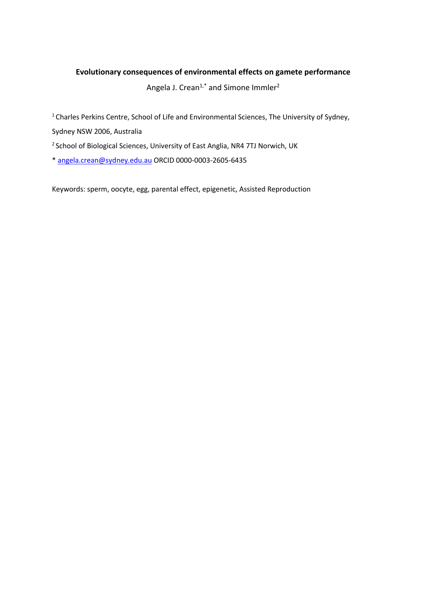# **Evolutionary consequences of environmental effects on gamete performance**

Angela J. Crean<sup>1,\*</sup> and Simone Immler<sup>2</sup>

1 Charles Perkins Centre, School of Life and Environmental Sciences, The University of Sydney,

Sydney NSW 2006, Australia

<sup>2</sup> School of Biological Sciences, University of East Anglia, NR4 7TJ Norwich, UK

\* angela.crean@sydney.edu.au ORCID 0000-0003-2605-6435

Keywords: sperm, oocyte, egg, parental effect, epigenetic, Assisted Reproduction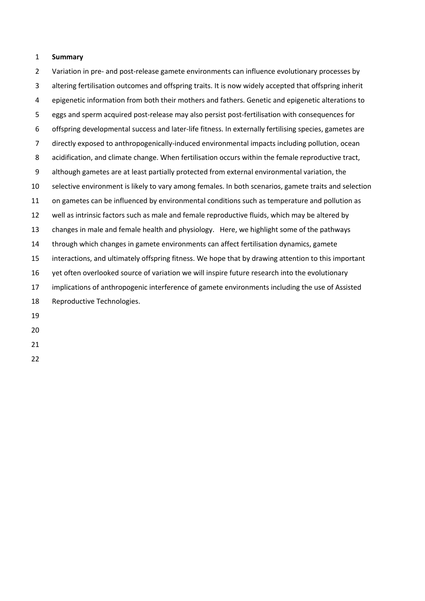### **Summary**

 Variation in pre- and post-release gamete environments can influence evolutionary processes by altering fertilisation outcomes and offspring traits. It is now widely accepted that offspring inherit epigenetic information from both their mothers and fathers. Genetic and epigenetic alterations to eggs and sperm acquired post-release may also persist post-fertilisation with consequences for offspring developmental success and later-life fitness. In externally fertilising species, gametes are directly exposed to anthropogenically-induced environmental impacts including pollution, ocean acidification, and climate change. When fertilisation occurs within the female reproductive tract, although gametes are at least partially protected from external environmental variation, the selective environment is likely to vary among females. In both scenarios, gamete traits and selection on gametes can be influenced by environmental conditions such as temperature and pollution as well as intrinsic factors such as male and female reproductive fluids, which may be altered by changes in male and female health and physiology. Here, we highlight some of the pathways through which changes in gamete environments can affect fertilisation dynamics, gamete interactions, and ultimately offspring fitness. We hope that by drawing attention to this important yet often overlooked source of variation we will inspire future research into the evolutionary implications of anthropogenic interference of gamete environments including the use of Assisted Reproductive Technologies.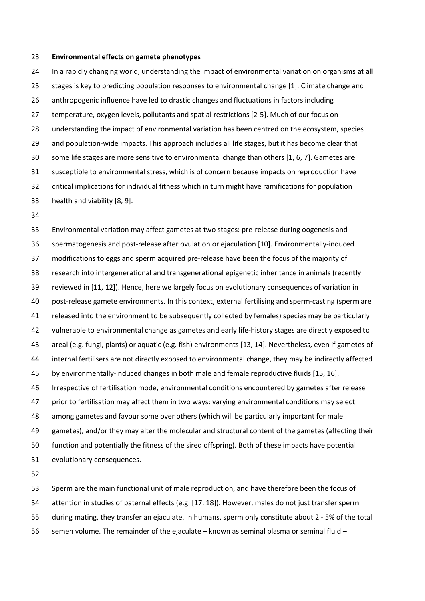#### **Environmental effects on gamete phenotypes**

 In a rapidly changing world, understanding the impact of environmental variation on organisms at all 25 stages is key to predicting population responses to environmental change [1]. Climate change and anthropogenic influence have led to drastic changes and fluctuations in factors including temperature, oxygen levels, pollutants and spatial restrictions [2-5]. Much of our focus on understanding the impact of environmental variation has been centred on the ecosystem, species and population-wide impacts. This approach includes all life stages, but it has become clear that some life stages are more sensitive to environmental change than others [1, 6, 7]. Gametes are susceptible to environmental stress, which is of concern because impacts on reproduction have critical implications for individual fitness which in turn might have ramifications for population health and viability [8, 9].

 Environmental variation may affect gametes at two stages: pre-release during oogenesis and spermatogenesis and post-release after ovulation or ejaculation [10]. Environmentally-induced modifications to eggs and sperm acquired pre-release have been the focus of the majority of research into intergenerational and transgenerational epigenetic inheritance in animals (recently reviewed in [11, 12]). Hence, here we largely focus on evolutionary consequences of variation in post-release gamete environments. In this context, external fertilising and sperm-casting (sperm are released into the environment to be subsequently collected by females) species may be particularly vulnerable to environmental change as gametes and early life-history stages are directly exposed to areal (e.g. fungi, plants) or aquatic (e.g. fish) environments [13, 14]. Nevertheless, even if gametes of internal fertilisers are not directly exposed to environmental change, they may be indirectly affected by environmentally-induced changes in both male and female reproductive fluids [15, 16]. Irrespective of fertilisation mode, environmental conditions encountered by gametes after release prior to fertilisation may affect them in two ways: varying environmental conditions may select among gametes and favour some over others (which will be particularly important for male gametes), and/or they may alter the molecular and structural content of the gametes (affecting their function and potentially the fitness of the sired offspring). Both of these impacts have potential evolutionary consequences.

 Sperm are the main functional unit of male reproduction, and have therefore been the focus of attention in studies of paternal effects (e.g. [17, 18]). However, males do not just transfer sperm during mating, they transfer an ejaculate. In humans, sperm only constitute about 2 - 5% of the total semen volume. The remainder of the ejaculate – known as seminal plasma or seminal fluid –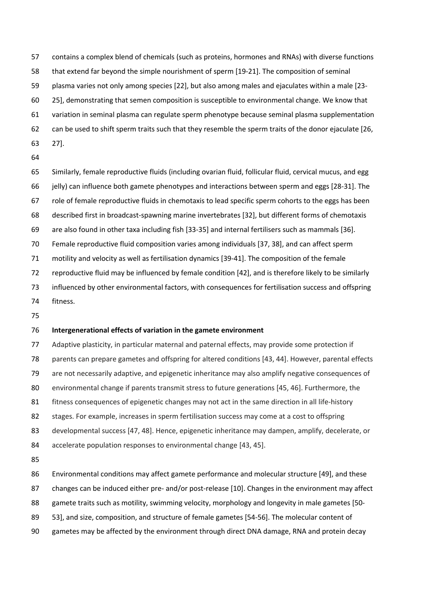contains a complex blend of chemicals (such as proteins, hormones and RNAs) with diverse functions that extend far beyond the simple nourishment of sperm [19-21]. The composition of seminal plasma varies not only among species [22], but also among males and ejaculates within a male [23- 25], demonstrating that semen composition is susceptible to environmental change. We know that variation in seminal plasma can regulate sperm phenotype because seminal plasma supplementation can be used to shift sperm traits such that they resemble the sperm traits of the donor ejaculate [26, 27].

 Similarly, female reproductive fluids (including ovarian fluid, follicular fluid, cervical mucus, and egg jelly) can influence both gamete phenotypes and interactions between sperm and eggs [28-31]. The role of female reproductive fluids in chemotaxis to lead specific sperm cohorts to the eggs has been described first in broadcast-spawning marine invertebrates [32], but different forms of chemotaxis are also found in other taxa including fish [33-35] and internal fertilisers such as mammals [36]. Female reproductive fluid composition varies among individuals [37, 38], and can affect sperm motility and velocity as well as fertilisation dynamics [39-41]. The composition of the female reproductive fluid may be influenced by female condition [42], and is therefore likely to be similarly influenced by other environmental factors, with consequences for fertilisation success and offspring fitness.

#### **Intergenerational effects of variation in the gamete environment**

 Adaptive plasticity, in particular maternal and paternal effects, may provide some protection if parents can prepare gametes and offspring for altered conditions [43, 44]. However, parental effects are not necessarily adaptive, and epigenetic inheritance may also amplify negative consequences of environmental change if parents transmit stress to future generations [45, 46]. Furthermore, the fitness consequences of epigenetic changes may not act in the same direction in all life-history stages. For example, increases in sperm fertilisation success may come at a cost to offspring developmental success [47, 48]. Hence, epigenetic inheritance may dampen, amplify, decelerate, or 84 accelerate population responses to environmental change [43, 45]. Environmental conditions may affect gamete performance and molecular structure [49], and these

changes can be induced either pre- and/or post-release [10]. Changes in the environment may affect

88 gamete traits such as motility, swimming velocity, morphology and longevity in male gametes [50-

53], and size, composition, and structure of female gametes [54-56]. The molecular content of

gametes may be affected by the environment through direct DNA damage, RNA and protein decay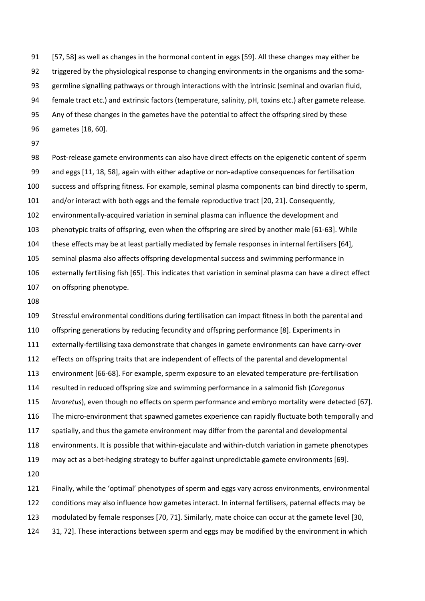[57, 58] as well as changes in the hormonal content in eggs [59]. All these changes may either be triggered by the physiological response to changing environments in the organisms and the soma- germline signalling pathways or through interactions with the intrinsic (seminal and ovarian fluid, female tract etc.) and extrinsic factors (temperature, salinity, pH, toxins etc.) after gamete release. Any of these changes in the gametes have the potential to affect the offspring sired by these gametes [18, 60].

 Post-release gamete environments can also have direct effects on the epigenetic content of sperm and eggs [11, 18, 58], again with either adaptive or non-adaptive consequences for fertilisation success and offspring fitness. For example, seminal plasma components can bind directly to sperm, and/or interact with both eggs and the female reproductive tract [20, 21]. Consequently, environmentally-acquired variation in seminal plasma can influence the development and phenotypic traits of offspring, even when the offspring are sired by another male [61-63]. While these effects may be at least partially mediated by female responses in internal fertilisers [64], seminal plasma also affects offspring developmental success and swimming performance in externally fertilising fish [65]. This indicates that variation in seminal plasma can have a direct effect on offspring phenotype.

 Stressful environmental conditions during fertilisation can impact fitness in both the parental and offspring generations by reducing fecundity and offspring performance [8]. Experiments in externally-fertilising taxa demonstrate that changes in gamete environments can have carry-over effects on offspring traits that are independent of effects of the parental and developmental environment [66-68]. For example, sperm exposure to an elevated temperature pre-fertilisation resulted in reduced offspring size and swimming performance in a salmonid fish (*Coregonus lavaretus*), even though no effects on sperm performance and embryo mortality were detected [67]. The micro-environment that spawned gametes experience can rapidly fluctuate both temporally and 117 spatially, and thus the gamete environment may differ from the parental and developmental environments. It is possible that within-ejaculate and within-clutch variation in gamete phenotypes may act as a bet-hedging strategy to buffer against unpredictable gamete environments [69]. 

 Finally, while the 'optimal' phenotypes of sperm and eggs vary across environments, environmental conditions may also influence how gametes interact. In internal fertilisers, paternal effects may be modulated by female responses [70, 71]. Similarly, mate choice can occur at the gamete level [30, 124 31, 72]. These interactions between sperm and eggs may be modified by the environment in which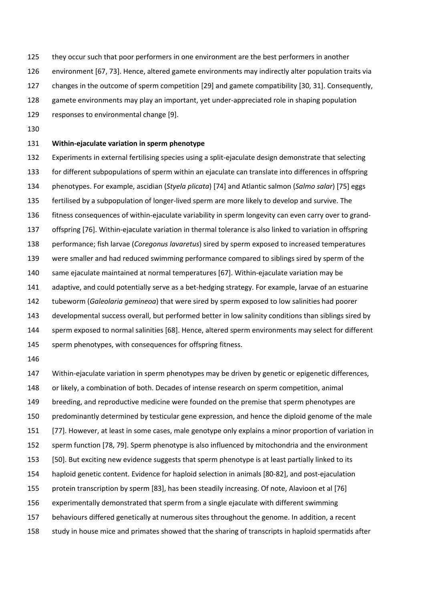they occur such that poor performers in one environment are the best performers in another

environment [67, 73]. Hence, altered gamete environments may indirectly alter population traits via

- changes in the outcome of sperm competition [29] and gamete compatibility [30, 31]. Consequently,
- gamete environments may play an important, yet under-appreciated role in shaping population
- responses to environmental change [9].
- 

## **Within-ejaculate variation in sperm phenotype**

- Experiments in external fertilising species using a split-ejaculate design demonstrate that selecting for different subpopulations of sperm within an ejaculate can translate into differences in offspring phenotypes. For example, ascidian (*Styela plicata*) [74] and Atlantic salmon (*Salmo salar*) [75] eggs fertilised by a subpopulation of longer-lived sperm are more likely to develop and survive. The fitness consequences of within-ejaculate variability in sperm longevity can even carry over to grand- offspring [76]. Within-ejaculate variation in thermal tolerance is also linked to variation in offspring performance; fish larvae (*Coregonus lavaretus*) sired by sperm exposed to increased temperatures were smaller and had reduced swimming performance compared to siblings sired by sperm of the same ejaculate maintained at normal temperatures [67]. Within-ejaculate variation may be adaptive, and could potentially serve as a bet-hedging strategy. For example, larvae of an estuarine tubeworm (*Galeolaria gemineoa*) that were sired by sperm exposed to low salinities had poorer developmental success overall, but performed better in low salinity conditions than siblings sired by sperm exposed to normal salinities [68]. Hence, altered sperm environments may select for different 145 sperm phenotypes, with consequences for offspring fitness.
- 

 Within-ejaculate variation in sperm phenotypes may be driven by genetic or epigenetic differences, or likely, a combination of both. Decades of intense research on sperm competition, animal 149 breeding, and reproductive medicine were founded on the premise that sperm phenotypes are predominantly determined by testicular gene expression, and hence the diploid genome of the male [77]. However, at least in some cases, male genotype only explains a minor proportion of variation in sperm function [78, 79]. Sperm phenotype is also influenced by mitochondria and the environment [50]. But exciting new evidence suggests that sperm phenotype is at least partially linked to its haploid genetic content. Evidence for haploid selection in animals [80-82], and post-ejaculation protein transcription by sperm [83], has been steadily increasing. Of note, Alavioon et al [76] experimentally demonstrated that sperm from a single ejaculate with different swimming behaviours differed genetically at numerous sites throughout the genome. In addition, a recent study in house mice and primates showed that the sharing of transcripts in haploid spermatids after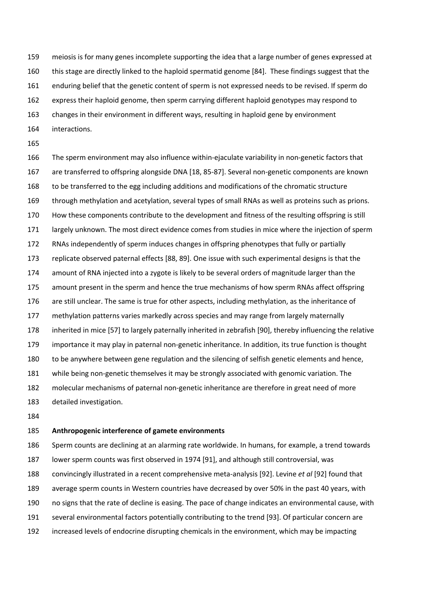meiosis is for many genes incomplete supporting the idea that a large number of genes expressed at this stage are directly linked to the haploid spermatid genome [84]. These findings suggest that the enduring belief that the genetic content of sperm is not expressed needs to be revised. If sperm do express their haploid genome, then sperm carrying different haploid genotypes may respond to changes in their environment in different ways, resulting in haploid gene by environment interactions.

 The sperm environment may also influence within-ejaculate variability in non-genetic factors that are transferred to offspring alongside DNA [18, 85-87]. Several non-genetic components are known to be transferred to the egg including additions and modifications of the chromatic structure through methylation and acetylation, several types of small RNAs as well as proteins such as prions. How these components contribute to the development and fitness of the resulting offspring is still largely unknown. The most direct evidence comes from studies in mice where the injection of sperm RNAs independently of sperm induces changes in offspring phenotypes that fully or partially replicate observed paternal effects [88, 89]. One issue with such experimental designs is that the amount of RNA injected into a zygote is likely to be several orders of magnitude larger than the amount present in the sperm and hence the true mechanisms of how sperm RNAs affect offspring are still unclear. The same is true for other aspects, including methylation, as the inheritance of 177 methylation patterns varies markedly across species and may range from largely maternally inherited in mice [57] to largely paternally inherited in zebrafish [90], thereby influencing the relative importance it may play in paternal non-genetic inheritance. In addition, its true function is thought to be anywhere between gene regulation and the silencing of selfish genetic elements and hence, while being non-genetic themselves it may be strongly associated with genomic variation. The molecular mechanisms of paternal non-genetic inheritance are therefore in great need of more detailed investigation.

#### **Anthropogenic interference of gamete environments**

 Sperm counts are declining at an alarming rate worldwide. In humans, for example, a trend towards lower sperm counts was first observed in 1974 [91], and although still controversial, was convincingly illustrated in a recent comprehensive meta-analysis [92]. Levine *et al* [92] found that average sperm counts in Western countries have decreased by over 50% in the past 40 years, with no signs that the rate of decline is easing. The pace of change indicates an environmental cause, with several environmental factors potentially contributing to the trend [93]. Of particular concern are increased levels of endocrine disrupting chemicals in the environment, which may be impacting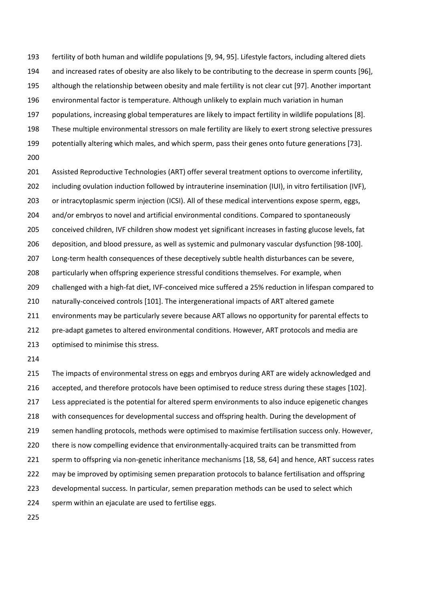fertility of both human and wildlife populations [9, 94, 95]. Lifestyle factors, including altered diets and increased rates of obesity are also likely to be contributing to the decrease in sperm counts [96], although the relationship between obesity and male fertility is not clear cut [97]. Another important environmental factor is temperature. Although unlikely to explain much variation in human populations, increasing global temperatures are likely to impact fertility in wildlife populations [8]. These multiple environmental stressors on male fertility are likely to exert strong selective pressures potentially altering which males, and which sperm, pass their genes onto future generations [73]. Assisted Reproductive Technologies (ART) offer several treatment options to overcome infertility,

202 including ovulation induction followed by intrauterine insemination (IUI), in vitro fertilisation (IVF), or intracytoplasmic sperm injection (ICSI). All of these medical interventions expose sperm, eggs, 204 and/or embryos to novel and artificial environmental conditions. Compared to spontaneously conceived children, IVF children show modest yet significant increases in fasting glucose levels, fat deposition, and blood pressure, as well as systemic and pulmonary vascular dysfunction [98-100]. Long-term health consequences of these deceptively subtle health disturbances can be severe, particularly when offspring experience stressful conditions themselves. For example, when challenged with a high-fat diet, IVF-conceived mice suffered a 25% reduction in lifespan compared to naturally-conceived controls [101]. The intergenerational impacts of ART altered gamete environments may be particularly severe because ART allows no opportunity for parental effects to pre-adapt gametes to altered environmental conditions. However, ART protocols and media are optimised to minimise this stress.

 The impacts of environmental stress on eggs and embryos during ART are widely acknowledged and accepted, and therefore protocols have been optimised to reduce stress during these stages [102]. Less appreciated is the potential for altered sperm environments to also induce epigenetic changes with consequences for developmental success and offspring health. During the development of semen handling protocols, methods were optimised to maximise fertilisation success only. However, there is now compelling evidence that environmentally-acquired traits can be transmitted from sperm to offspring via non-genetic inheritance mechanisms [18, 58, 64] and hence, ART success rates may be improved by optimising semen preparation protocols to balance fertilisation and offspring developmental success. In particular, semen preparation methods can be used to select which sperm within an ejaculate are used to fertilise eggs.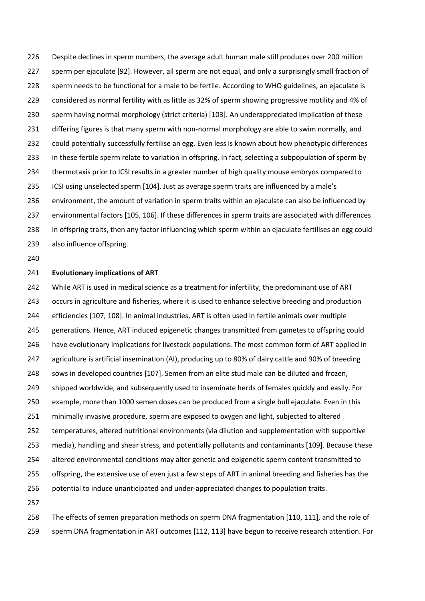Despite declines in sperm numbers, the average adult human male still produces over 200 million sperm per ejaculate [92]. However, all sperm are not equal, and only a surprisingly small fraction of sperm needs to be functional for a male to be fertile. According to WHO guidelines, an ejaculate is considered as normal fertility with as little as 32% of sperm showing progressive motility and 4% of sperm having normal morphology (strict criteria) [103]. An underappreciated implication of these differing figures is that many sperm with non-normal morphology are able to swim normally, and could potentially successfully fertilise an egg. Even less is known about how phenotypic differences in these fertile sperm relate to variation in offspring. In fact, selecting a subpopulation of sperm by thermotaxis prior to ICSI results in a greater number of high quality mouse embryos compared to ICSI using unselected sperm [104]. Just as average sperm traits are influenced by a male's environment, the amount of variation in sperm traits within an ejaculate can also be influenced by environmental factors [105, 106]. If these differences in sperm traits are associated with differences in offspring traits, then any factor influencing which sperm within an ejaculate fertilises an egg could also influence offspring.

#### **Evolutionary implications of ART**

242 While ART is used in medical science as a treatment for infertility, the predominant use of ART occurs in agriculture and fisheries, where it is used to enhance selective breeding and production efficiencies [107, 108]. In animal industries, ART is often used in fertile animals over multiple generations. Hence, ART induced epigenetic changes transmitted from gametes to offspring could have evolutionary implications for livestock populations. The most common form of ART applied in agriculture is artificial insemination (AI), producing up to 80% of dairy cattle and 90% of breeding sows in developed countries [107]. Semen from an elite stud male can be diluted and frozen, 249 shipped worldwide, and subsequently used to inseminate herds of females quickly and easily. For example, more than 1000 semen doses can be produced from a single bull ejaculate. Even in this minimally invasive procedure, sperm are exposed to oxygen and light, subjected to altered temperatures, altered nutritional environments (via dilution and supplementation with supportive media), handling and shear stress, and potentially pollutants and contaminants [109]. Because these altered environmental conditions may alter genetic and epigenetic sperm content transmitted to offspring, the extensive use of even just a few steps of ART in animal breeding and fisheries has the potential to induce unanticipated and under-appreciated changes to population traits. 

 The effects of semen preparation methods on sperm DNA fragmentation [110, 111], and the role of sperm DNA fragmentation in ART outcomes [112, 113] have begun to receive research attention. For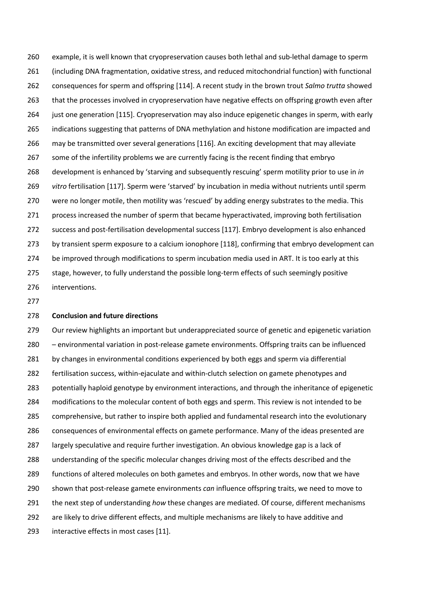example, it is well known that cryopreservation causes both lethal and sub-lethal damage to sperm (including DNA fragmentation, oxidative stress, and reduced mitochondrial function) with functional consequences for sperm and offspring [114]. A recent study in the brown trout *Salmo trutta* showed 263 that the processes involved in cryopreservation have negative effects on offspring growth even after 264 just one generation [115]. Cryopreservation may also induce epigenetic changes in sperm, with early indications suggesting that patterns of DNA methylation and histone modification are impacted and may be transmitted over several generations [116]. An exciting development that may alleviate some of the infertility problems we are currently facing is the recent finding that embryo development is enhanced by 'starving and subsequently rescuing' sperm motility prior to use in *in vitro* fertilisation [117]. Sperm were 'starved' by incubation in media without nutrients until sperm were no longer motile, then motility was 'rescued' by adding energy substrates to the media. This process increased the number of sperm that became hyperactivated, improving both fertilisation success and post-fertilisation developmental success [117]. Embryo development is also enhanced 273 by transient sperm exposure to a calcium ionophore [118], confirming that embryo development can 274 be improved through modifications to sperm incubation media used in ART. It is too early at this 275 stage, however, to fully understand the possible long-term effects of such seemingly positive interventions.

### **Conclusion and future directions**

 Our review highlights an important but underappreciated source of genetic and epigenetic variation – environmental variation in post-release gamete environments. Offspring traits can be influenced 281 by changes in environmental conditions experienced by both eggs and sperm via differential fertilisation success, within-ejaculate and within-clutch selection on gamete phenotypes and potentially haploid genotype by environment interactions, and through the inheritance of epigenetic modifications to the molecular content of both eggs and sperm. This review is not intended to be comprehensive, but rather to inspire both applied and fundamental research into the evolutionary consequences of environmental effects on gamete performance. Many of the ideas presented are largely speculative and require further investigation. An obvious knowledge gap is a lack of understanding of the specific molecular changes driving most of the effects described and the functions of altered molecules on both gametes and embryos. In other words, now that we have shown that post-release gamete environments *can* influence offspring traits, we need to move to the next step of understanding *how* these changes are mediated. Of course, different mechanisms are likely to drive different effects, and multiple mechanisms are likely to have additive and interactive effects in most cases [11].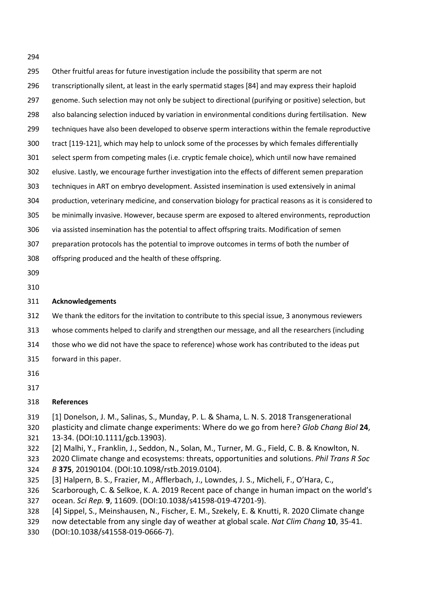- Other fruitful areas for future investigation include the possibility that sperm are not transcriptionally silent, at least in the early spermatid stages [84] and may express their haploid 297 genome. Such selection may not only be subject to directional (purifying or positive) selection, but also balancing selection induced by variation in environmental conditions during fertilisation. New techniques have also been developed to observe sperm interactions within the female reproductive tract [119-121], which may help to unlock some of the processes by which females differentially select sperm from competing males (i.e. cryptic female choice), which until now have remained elusive. Lastly, we encourage further investigation into the effects of different semen preparation techniques in ART on embryo development. Assisted insemination is used extensively in animal production, veterinary medicine, and conservation biology for practical reasons as it is considered to be minimally invasive. However, because sperm are exposed to altered environments, reproduction via assisted insemination has the potential to affect offspring traits. Modification of semen preparation protocols has the potential to improve outcomes in terms of both the number of offspring produced and the health of these offspring.
- 

## **Acknowledgements**

- We thank the editors for the invitation to contribute to this special issue, 3 anonymous reviewers
- whose comments helped to clarify and strengthen our message, and all the researchers (including
- those who we did not have the space to reference) whose work has contributed to the ideas put
- forward in this paper.
- 
- 

# **References**

- [1] Donelson, J. M., Salinas, S., Munday, P. L. & Shama, L. N. S. 2018 Transgenerational
- plasticity and climate change experiments: Where do we go from here? *Glob Chang Biol* **24**, 13-34. (DOI:10.1111/gcb.13903).
- [2] Malhi, Y., Franklin, J., Seddon, N., Solan, M., Turner, M. G., Field, C. B. & Knowlton, N.
- 2020 Climate change and ecosystems: threats, opportunities and solutions. *Phil Trans R Soc B* **375**, 20190104. (DOI:10.1098/rstb.2019.0104).
- [3] Halpern, B. S., Frazier, M., Afflerbach, J., Lowndes, J. S., Micheli, F., O'Hara, C.,
- Scarborough, C. & Selkoe, K. A. 2019 Recent pace of change in human impact on the world's
- ocean. *Sci Rep.* **9**, 11609. (DOI:10.1038/s41598-019-47201-9).
- [4] Sippel, S., Meinshausen, N., Fischer, E. M., Szekely, E. & Knutti, R. 2020 Climate change
- now detectable from any single day of weather at global scale. *Nat Clim Chang* **10**, 35-41.
- (DOI:10.1038/s41558-019-0666-7).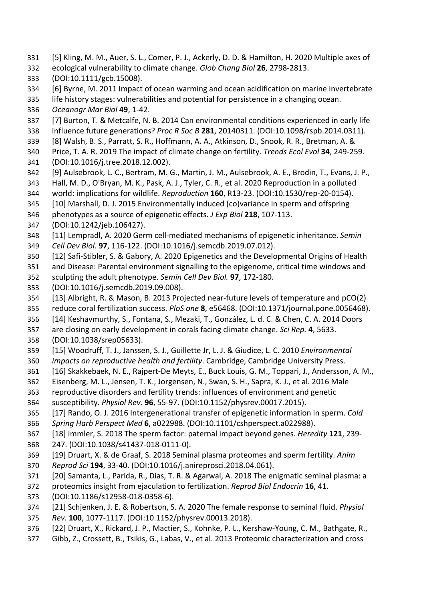- [5] Kling, M. M., Auer, S. L., Comer, P. J., Ackerly, D. D. & Hamilton, H. 2020 Multiple axes of
- ecological vulnerability to climate change. *Glob Chang Biol* **26**, 2798-2813.
- (DOI:10.1111/gcb.15008).
- [6] Byrne, M. 2011 Impact of ocean warming and ocean acidification on marine invertebrate
- life history stages: vulnerabilities and potential for persistence in a changing ocean.
- *Oceanogr Mar Biol* **49**, 1-42.
- [7] Burton, T. & Metcalfe, N. B. 2014 Can environmental conditions experienced in early life
- influence future generations? *Proc R Soc B* **281**, 20140311. (DOI:10.1098/rspb.2014.0311).
- [8] Walsh, B. S., Parratt, S. R., Hoffmann, A. A., Atkinson, D., Snook, R. R., Bretman, A. & Price, T. A. R. 2019 The impact of climate change on fertility. *Trends Ecol Evol* **34**, 249-259.
- (DOI:10.1016/j.tree.2018.12.002).
- [9] Aulsebrook, L. C., Bertram, M. G., Martin, J. M., Aulsebrook, A. E., Brodin, T., Evans, J. P.,
- Hall, M. D., O'Bryan, M. K., Pask, A. J., Tyler, C. R., et al. 2020 Reproduction in a polluted
- world: implications for wildlife. *Reproduction* **160**, R13-23. (DOI:10.1530/rep-20-0154). [10] Marshall, D. J. 2015 Environmentally induced (co)variance in sperm and offspring
- phenotypes as a source of epigenetic effects. *J Exp Biol* **218**, 107-113.
- (DOI:10.1242/jeb.106427).
- [11] Lempradl, A. 2020 Germ cell-mediated mechanisms of epigenetic inheritance. *Semin*
- *Cell Dev Biol.* **97**, 116-122. (DOI:10.1016/j.semcdb.2019.07.012).
- [12] Safi-Stibler, S. & Gabory, A. 2020 Epigenetics and the Developmental Origins of Health
- and Disease: Parental environment signalling to the epigenome, critical time windows and
- sculpting the adult phenotype. *Semin Cell Dev Biol.* **97**, 172-180.
- (DOI:10.1016/j.semcdb.2019.09.008).
- [13] Albright, R. & Mason, B. 2013 Projected near-future levels of temperature and pCO(2)
- reduce coral fertilization success. *PloS one* **8**, e56468. (DOI:10.1371/journal.pone.0056468).
- [14] Keshavmurthy, S., Fontana, S., Mezaki, T., González, L. d. C. & Chen, C. A. 2014 Doors
- are closing on early development in corals facing climate change. *Sci Rep.* **4**, 5633.
- (DOI:10.1038/srep05633).
- [15] Woodruff, T. J., Janssen, S. J., Guillette Jr, L. J. & Giudice, L. C. 2010 *Environmental impacts on reproductive health and fertility*. Cambridge, Cambridge University Press.
- [16] Skakkebaek, N. E., Rajpert-De Meyts, E., Buck Louis, G. M., Toppari, J., Andersson, A. M.,
- Eisenberg, M. L., Jensen, T. K., Jorgensen, N., Swan, S. H., Sapra, K. J., et al. 2016 Male
- reproductive disorders and fertility trends: influences of environment and genetic
- susceptibility. *Physiol Rev.* **96**, 55-97. (DOI:10.1152/physrev.00017.2015).
- [17] Rando, O. J. 2016 Intergenerational transfer of epigenetic information in sperm. *Cold*
- *Spring Harb Perspect Med* **6**, a022988. (DOI:10.1101/cshperspect.a022988).
- [18] Immler, S. 2018 The sperm factor: paternal impact beyond genes. *Heredity* **121**, 239-
- 247. (DOI:10.1038/s41437-018-0111-0).
- [19] Druart, X. & de Graaf, S. 2018 Seminal plasma proteomes and sperm fertility. *Anim Reprod Sci* **194**, 33-40. (DOI:10.1016/j.anireprosci.2018.04.061).
- [20] Samanta, L., Parida, R., Dias, T. R. & Agarwal, A. 2018 The enigmatic seminal plasma: a
- proteomics insight from ejaculation to fertilization. *Reprod Biol Endocrin* **16**, 41.
- (DOI:10.1186/s12958-018-0358-6).
- [21] Schjenken, J. E. & Robertson, S. A. 2020 The female response to seminal fluid. *Physiol*
- *Rev.* **100**, 1077-1117. (DOI:10.1152/physrev.00013.2018).
- [22] Druart, X., Rickard, J. P., Mactier, S., Kohnke, P. L., Kershaw-Young, C. M., Bathgate, R.,
- Gibb, Z., Crossett, B., Tsikis, G., Labas, V., et al. 2013 Proteomic characterization and cross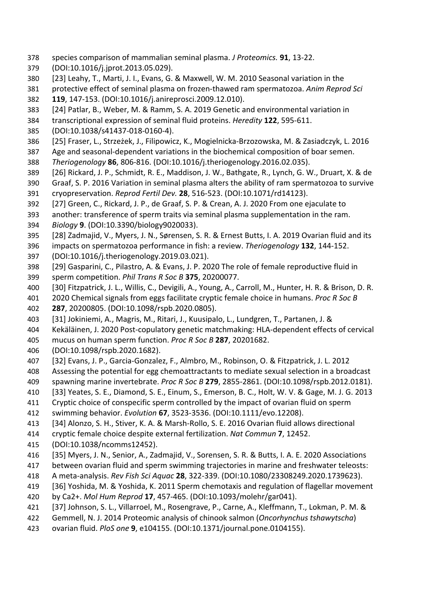- species comparison of mammalian seminal plasma. *J Proteomics.* **91**, 13-22.
- (DOI:10.1016/j.jprot.2013.05.029).
- [23] Leahy, T., Marti, J. I., Evans, G. & Maxwell, W. M. 2010 Seasonal variation in the
- protective effect of seminal plasma on frozen-thawed ram spermatozoa. *Anim Reprod Sci* **119**, 147-153. (DOI:10.1016/j.anireprosci.2009.12.010).
- [24] Patlar, B., Weber, M. & Ramm, S. A. 2019 Genetic and environmental variation in
- transcriptional expression of seminal fluid proteins. *Heredity* **122**, 595-611.
- (DOI:10.1038/s41437-018-0160-4).
- [25] Fraser, L., Strzeżek, J., Filipowicz, K., Mogielnicka-Brzozowska, M. & Zasiadczyk, L. 2016
- Age and seasonal-dependent variations in the biochemical composition of boar semen.
- *Theriogenology* **86**, 806-816. (DOI:10.1016/j.theriogenology.2016.02.035).
- [26] Rickard, J. P., Schmidt, R. E., Maddison, J. W., Bathgate, R., Lynch, G. W., Druart, X. & de
- Graaf, S. P. 2016 Variation in seminal plasma alters the ability of ram spermatozoa to survive cryopreservation. *Reprod Fertil Dev.* **28**, 516-523. (DOI:10.1071/rd14123).
- [27] Green, C., Rickard, J. P., de Graaf, S. P. & Crean, A. J. 2020 From one ejaculate to
- another: transference of sperm traits via seminal plasma supplementation in the ram. *Biology* **9**. (DOI:10.3390/biology9020033).
- [28] Zadmajid, V., Myers, J. N., Sørensen, S. R. & Ernest Butts, I. A. 2019 Ovarian fluid and its
- impacts on spermatozoa performance in fish: a review. *Theriogenology* **132**, 144-152.
- (DOI:10.1016/j.theriogenology.2019.03.021).
- [29] Gasparini, C., Pilastro, A. & Evans, J. P. 2020 The role of female reproductive fluid in sperm competition. *Phil Trans R Soc B* **375**, 20200077.
- [30] Fitzpatrick, J. L., Willis, C., Devigili, A., Young, A., Carroll, M., Hunter, H. R. & Brison, D. R.
- 2020 Chemical signals from eggs facilitate cryptic female choice in humans. *Proc R Soc B*
- **287**, 20200805. (DOI:10.1098/rspb.2020.0805).
- [31] Jokiniemi, A., Magris, M., Ritari, J., Kuusipalo, L., Lundgren, T., Partanen, J. &
- Kekäläinen, J. 2020 Post-copulatory genetic matchmaking: HLA-dependent effects of cervical
- mucus on human sperm function. *Proc R Soc B* **287**, 20201682.
- (DOI:10.1098/rspb.2020.1682).
- [32] Evans, J. P., Garcia-Gonzalez, F., Almbro, M., Robinson, O. & Fitzpatrick, J. L. 2012
- Assessing the potential for egg chemoattractants to mediate sexual selection in a broadcast
- spawning marine invertebrate. *Proc R Soc B* **279**, 2855-2861. (DOI:10.1098/rspb.2012.0181).
- [33] Yeates, S. E., Diamond, S. E., Einum, S., Emerson, B. C., Holt, W. V. & Gage, M. J. G. 2013
- Cryptic choice of conspecific sperm controlled by the impact of ovarian fluid on sperm
- swimming behavior. *Evolution* **67**, 3523-3536. (DOI:10.1111/evo.12208).
- [34] Alonzo, S. H., Stiver, K. A. & Marsh-Rollo, S. E. 2016 Ovarian fluid allows directional
- cryptic female choice despite external fertilization. *Nat Commun* **7**, 12452.
- (DOI:10.1038/ncomms12452).
- [35] Myers, J. N., Senior, A., Zadmajid, V., Sorensen, S. R. & Butts, I. A. E. 2020 Associations
- between ovarian fluid and sperm swimming trajectories in marine and freshwater teleosts:
- A meta-analysis. *Rev Fish Sci Aquac* **28**, 322-339. (DOI:10.1080/23308249.2020.1739623).
- [36] Yoshida, M. & Yoshida, K. 2011 Sperm chemotaxis and regulation of flagellar movement
- by Ca2+. *Mol Hum Reprod* **17**, 457-465. (DOI:10.1093/molehr/gar041).
- [37] Johnson, S. L., Villarroel, M., Rosengrave, P., Carne, A., Kleffmann, T., Lokman, P. M. &
- Gemmell, N. J. 2014 Proteomic analysis of chinook salmon (*Oncorhynchus tshawytscha*)
- ovarian fluid. *PloS one* **9**, e104155. (DOI:10.1371/journal.pone.0104155).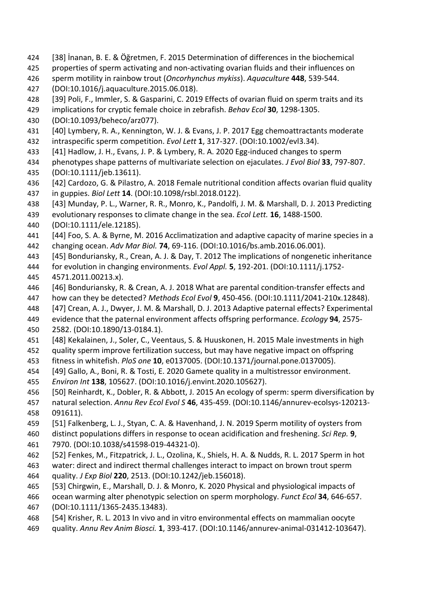- [38] İnanan, B. E. & Öğretmen, F. 2015 Determination of differences in the biochemical
- properties of sperm activating and non-activating ovarian fluids and their influences on
- sperm motility in rainbow trout (*Oncorhynchus mykiss*). *Aquaculture* **448**, 539-544.
- (DOI:10.1016/j.aquaculture.2015.06.018).
- [39] Poli, F., Immler, S. & Gasparini, C. 2019 Effects of ovarian fluid on sperm traits and its
- implications for cryptic female choice in zebrafish. *Behav Ecol* **30**, 1298-1305.
- (DOI:10.1093/beheco/arz077).
- [40] Lymbery, R. A., Kennington, W. J. & Evans, J. P. 2017 Egg chemoattractants moderate intraspecific sperm competition. *Evol Lett* **1**, 317-327. (DOI:10.1002/evl3.34).
- [41] Hadlow, J. H., Evans, J. P. & Lymbery, R. A. 2020 Egg-induced changes to sperm
- phenotypes shape patterns of multivariate selection on ejaculates. *J Evol Biol* **33**, 797-807. (DOI:10.1111/jeb.13611).
- [42] Cardozo, G. & Pilastro, A. 2018 Female nutritional condition affects ovarian fluid quality in guppies. *Biol Lett* **14**. (DOI:10.1098/rsbl.2018.0122).
- [43] Munday, P. L., Warner, R. R., Monro, K., Pandolfi, J. M. & Marshall, D. J. 2013 Predicting
- evolutionary responses to climate change in the sea. *Ecol Lett.* **16**, 1488-1500.
- (DOI:10.1111/ele.12185).
- [44] Foo, S. A. & Byrne, M. 2016 Acclimatization and adaptive capacity of marine species in a changing ocean. *Adv Mar Biol.* **74**, 69-116. (DOI:10.1016/bs.amb.2016.06.001).
- [45] Bonduriansky, R., Crean, A. J. & Day, T. 2012 The implications of nongenetic inheritance
- for evolution in changing environments. *Evol Appl.* **5**, 192-201. (DOI:10.1111/j.1752- 4571.2011.00213.x).
- [46] Bonduriansky, R. & Crean, A. J. 2018 What are parental condition-transfer effects and
- how can they be detected? *Methods Ecol Evol* **9**, 450-456. (DOI:10.1111/2041-210x.12848).
- [47] Crean, A. J., Dwyer, J. M. & Marshall, D. J. 2013 Adaptive paternal effects? Experimental
- evidence that the paternal environment affects offspring performance. *Ecology* **94**, 2575-
- 2582. (DOI:10.1890/13-0184.1).
- [48] Kekalainen, J., Soler, C., Veentaus, S. & Huuskonen, H. 2015 Male investments in high
- quality sperm improve fertilization success, but may have negative impact on offspring
- fitness in whitefish. *PloS one* **10**, e0137005. (DOI:10.1371/journal.pone.0137005).
- [49] Gallo, A., Boni, R. & Tosti, E. 2020 Gamete quality in a multistressor environment.
- *Environ Int* **138**, 105627. (DOI:10.1016/j.envint.2020.105627).
- [50] Reinhardt, K., Dobler, R. & Abbott, J. 2015 An ecology of sperm: sperm diversification by
- natural selection. *Annu Rev Ecol Evol S* **46**, 435-459. (DOI:10.1146/annurev-ecolsys-120213- 091611).
- [51] Falkenberg, L. J., Styan, C. A. & Havenhand, J. N. 2019 Sperm motility of oysters from
- distinct populations differs in response to ocean acidification and freshening. *Sci Rep.* **9**,
- 7970. (DOI:10.1038/s41598-019-44321-0).
- [52] Fenkes, M., Fitzpatrick, J. L., Ozolina, K., Shiels, H. A. & Nudds, R. L. 2017 Sperm in hot water: direct and indirect thermal challenges interact to impact on brown trout sperm quality. *J Exp Biol* **220**, 2513. (DOI:10.1242/jeb.156018).
- [53] Chirgwin, E., Marshall, D. J. & Monro, K. 2020 Physical and physiological impacts of
- ocean warming alter phenotypic selection on sperm morphology. *Funct Ecol* **34**, 646-657.
- (DOI:10.1111/1365-2435.13483).
- [54] Krisher, R. L. 2013 In vivo and in vitro environmental effects on mammalian oocyte
- quality. *Annu Rev Anim Biosci.* **1**, 393-417. (DOI:10.1146/annurev-animal-031412-103647).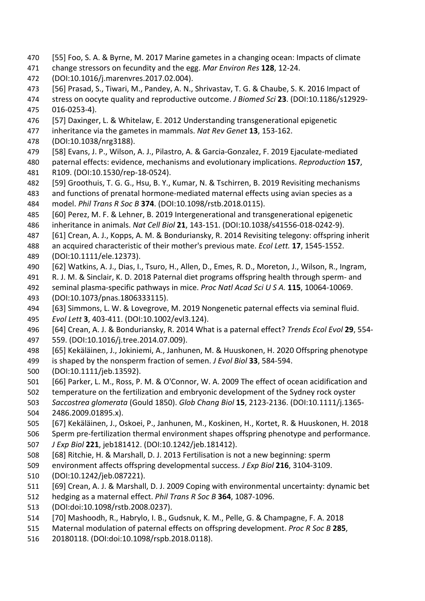- [55] Foo, S. A. & Byrne, M. 2017 Marine gametes in a changing ocean: Impacts of climate
- change stressors on fecundity and the egg. *Mar Environ Res* **128**, 12-24.
- (DOI:10.1016/j.marenvres.2017.02.004).
- [56] Prasad, S., Tiwari, M., Pandey, A. N., Shrivastav, T. G. & Chaube, S. K. 2016 Impact of
- stress on oocyte quality and reproductive outcome. *J Biomed Sci* **23**. (DOI:10.1186/s12929- 016-0253-4).
- [57] Daxinger, L. & Whitelaw, E. 2012 Understanding transgenerational epigenetic
- inheritance via the gametes in mammals. *Nat Rev Genet* **13**, 153-162.
- (DOI:10.1038/nrg3188).
- [58] Evans, J. P., Wilson, A. J., Pilastro, A. & Garcia-Gonzalez, F. 2019 Ejaculate-mediated
- paternal effects: evidence, mechanisms and evolutionary implications. *Reproduction* **157**, R109. (DOI:10.1530/rep-18-0524).
- [59] Groothuis, T. G. G., Hsu, B. Y., Kumar, N. & Tschirren, B. 2019 Revisiting mechanisms
- and functions of prenatal hormone-mediated maternal effects using avian species as a model. *Phil Trans R Soc B* **374**. (DOI:10.1098/rstb.2018.0115).
- [60] Perez, M. F. & Lehner, B. 2019 Intergenerational and transgenerational epigenetic inheritance in animals. *Nat Cell Biol* **21**, 143-151. (DOI:10.1038/s41556-018-0242-9).
- [61] Crean, A. J., Kopps, A. M. & Bonduriansky, R. 2014 Revisiting telegony: offspring inherit
- an acquired characteristic of their mother's previous mate. *Ecol Lett.* **17**, 1545-1552.

(DOI:10.1111/ele.12373).

- [62] Watkins, A. J., Dias, I., Tsuro, H., Allen, D., Emes, R. D., Moreton, J., Wilson, R., Ingram,
- R. J. M. & Sinclair, K. D. 2018 Paternal diet programs offspring health through sperm- and
- seminal plasma-specific pathways in mice. *Proc Natl Acad Sci U S A.* **115**, 10064-10069. (DOI:10.1073/pnas.1806333115).
- [63] Simmons, L. W. & Lovegrove, M. 2019 Nongenetic paternal effects via seminal fluid.
- *Evol Lett* **3**, 403-411. (DOI:10.1002/evl3.124).
- [64] Crean, A. J. & Bonduriansky, R. 2014 What is a paternal effect? *Trends Ecol Evol* **29**, 554- 559. (DOI:10.1016/j.tree.2014.07.009).
- [65] Kekäläinen, J., Jokiniemi, A., Janhunen, M. & Huuskonen, H. 2020 Offspring phenotype is shaped by the nonsperm fraction of semen. *J Evol Biol* **33**, 584-594.
- (DOI:10.1111/jeb.13592).
- [66] Parker, L. M., Ross, P. M. & O'Connor, W. A. 2009 The effect of ocean acidification and
- temperature on the fertilization and embryonic development of the Sydney rock oyster
- *Saccostrea glomerata* (Gould 1850). *Glob Chang Biol* **15**, 2123-2136. (DOI:10.1111/j.1365-
- 2486.2009.01895.x).
- [67] Kekäläinen, J., Oskoei, P., Janhunen, M., Koskinen, H., Kortet, R. & Huuskonen, H. 2018
- Sperm pre-fertilization thermal environment shapes offspring phenotype and performance.
- *J Exp Biol* **221**, jeb181412. (DOI:10.1242/jeb.181412).
- [68] Ritchie, H. & Marshall, D. J. 2013 Fertilisation is not a new beginning: sperm
- environment affects offspring developmental success. *J Exp Biol* **216**, 3104-3109.
- (DOI:10.1242/jeb.087221).
- [69] Crean, A. J. & Marshall, D. J. 2009 Coping with environmental uncertainty: dynamic bet
- hedging as a maternal effect. *Phil Trans R Soc B* **364**, 1087-1096.
- (DOI:doi:10.1098/rstb.2008.0237).
- [70] Mashoodh, R., Habrylo, I. B., Gudsnuk, K. M., Pelle, G. & Champagne, F. A. 2018
- Maternal modulation of paternal effects on offspring development. *Proc R Soc B* **285**,
- 20180118. (DOI:doi:10.1098/rspb.2018.0118).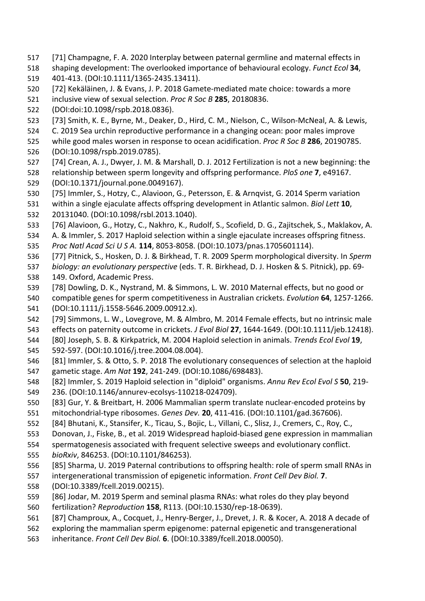- [71] Champagne, F. A. 2020 Interplay between paternal germline and maternal effects in
- shaping development: The overlooked importance of behavioural ecology. *Funct Ecol* **34**,
- 401-413. (DOI:10.1111/1365-2435.13411).
- [72] Kekäläinen, J. & Evans, J. P. 2018 Gamete-mediated mate choice: towards a more
- inclusive view of sexual selection. *Proc R Soc B* **285**, 20180836.
- (DOI:doi:10.1098/rspb.2018.0836).
- [73] Smith, K. E., Byrne, M., Deaker, D., Hird, C. M., Nielson, C., Wilson-McNeal, A. & Lewis,
- C. 2019 Sea urchin reproductive performance in a changing ocean: poor males improve
- while good males worsen in response to ocean acidification. *Proc R Soc B* **286**, 20190785. (DOI:10.1098/rspb.2019.0785).
- [74] Crean, A. J., Dwyer, J. M. & Marshall, D. J. 2012 Fertilization is not a new beginning: the
- relationship between sperm longevity and offspring performance. *PloS one* **7**, e49167. (DOI:10.1371/journal.pone.0049167).
- [75] Immler, S., Hotzy, C., Alavioon, G., Petersson, E. & Arnqvist, G. 2014 Sperm variation
- within a single ejaculate affects offspring development in Atlantic salmon. *Biol Lett* **10**,
- 20131040. (DOI:10.1098/rsbl.2013.1040).
- [76] Alavioon, G., Hotzy, C., Nakhro, K., Rudolf, S., Scofield, D. G., Zajitschek, S., Maklakov, A.
- A. & Immler, S. 2017 Haploid selection within a single ejaculate increases offspring fitness.
- *Proc Natl Acad Sci U S A.* **114**, 8053-8058. (DOI:10.1073/pnas.1705601114).
- [77] Pitnick, S., Hosken, D. J. & Birkhead, T. R. 2009 Sperm morphological diversity. In *Sperm*
- *biology: an evolutionary perspective* (eds. T. R. Birkhead, D. J. Hosken & S. Pitnick), pp. 69- 149. Oxford, Academic Press.
- [78] Dowling, D. K., Nystrand, M. & Simmons, L. W. 2010 Maternal effects, but no good or
- compatible genes for sperm competitiveness in Australian crickets. *Evolution* **64**, 1257-1266. (DOI:10.1111/j.1558-5646.2009.00912.x).
- [79] Simmons, L. W., Lovegrove, M. & Almbro, M. 2014 Female effects, but no intrinsic male
- effects on paternity outcome in crickets. *J Evol Biol* **27**, 1644-1649. (DOI:10.1111/jeb.12418).
- [80] Joseph, S. B. & Kirkpatrick, M. 2004 Haploid selection in animals. *Trends Ecol Evol* **19**, 592-597. (DOI:10.1016/j.tree.2004.08.004).
- [81] Immler, S. & Otto, S. P. 2018 The evolutionary consequences of selection at the haploid gametic stage. *Am Nat* **192**, 241-249. (DOI:10.1086/698483).
- [82] Immler, S. 2019 Haploid selection in "diploid" organisms. *Annu Rev Ecol Evol S* **50**, 219-
- 236. (DOI:10.1146/annurev-ecolsys-110218-024709).
- [83] Gur, Y. & Breitbart, H. 2006 Mammalian sperm translate nuclear-encoded proteins by mitochondrial-type ribosomes. *Genes Dev.* **20**, 411-416. (DOI:10.1101/gad.367606).
- [84] Bhutani, K., Stansifer, K., Ticau, S., Bojic, L., Villani, C., Slisz, J., Cremers, C., Roy, C.,
- Donovan, J., Fiske, B., et al. 2019 Widespread haploid-biased gene expression in mammalian
- spermatogenesis associated with frequent selective sweeps and evolutionary conflict.
- *bioRxiv*, 846253. (DOI:10.1101/846253).
- [85] Sharma, U. 2019 Paternal contributions to offspring health: role of sperm small RNAs in
- intergenerational transmission of epigenetic information. *Front Cell Dev Biol.* **7**.
- (DOI:10.3389/fcell.2019.00215).
- [86] Jodar, M. 2019 Sperm and seminal plasma RNAs: what roles do they play beyond
- fertilization? *Reproduction* **158**, R113. (DOI:10.1530/rep-18-0639).
- [87] Champroux, A., Cocquet, J., Henry-Berger, J., Drevet, J. R. & Kocer, A. 2018 A decade of
- exploring the mammalian sperm epigenome: paternal epigenetic and transgenerational
- inheritance. *Front Cell Dev Biol.* **6**. (DOI:10.3389/fcell.2018.00050).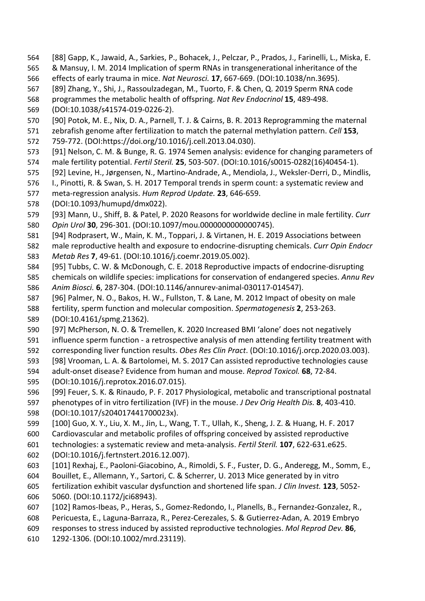- [88] Gapp, K., Jawaid, A., Sarkies, P., Bohacek, J., Pelczar, P., Prados, J., Farinelli, L., Miska, E.
- & Mansuy, I. M. 2014 Implication of sperm RNAs in transgenerational inheritance of the
- effects of early trauma in mice. *Nat Neurosci.* **17**, 667-669. (DOI:10.1038/nn.3695).
- [89] Zhang, Y., Shi, J., Rassoulzadegan, M., Tuorto, F. & Chen, Q. 2019 Sperm RNA code
- programmes the metabolic health of offspring. *Nat Rev Endocrinol* **15**, 489-498.
- (DOI:10.1038/s41574-019-0226-2).
- [90] Potok, M. E., Nix, D. A., Parnell, T. J. & Cairns, B. R. 2013 Reprogramming the maternal
- zebrafish genome after fertilization to match the paternal methylation pattern. *Cell* **153**,
- 759-772. (DOI:https://doi.org/10.1016/j.cell.2013.04.030).
- [91] Nelson, C. M. & Bunge, R. G. 1974 Semen analysis: evidence for changing parameters of male fertility potential. *Fertil Steril.* **25**, 503-507. (DOI:10.1016/s0015-0282(16)40454-1).
- [92] Levine, H., Jørgensen, N., Martino-Andrade, A., Mendiola, J., Weksler-Derri, D., Mindlis,
- I., Pinotti, R. & Swan, S. H. 2017 Temporal trends in sperm count: a systematic review and
- meta-regression analysis. *Hum Reprod Update.* **23**, 646-659.
- (DOI:10.1093/humupd/dmx022).
- [93] Mann, U., Shiff, B. & Patel, P. 2020 Reasons for worldwide decline in male fertility. *Curr Opin Urol* **30**, 296-301. (DOI:10.1097/mou.0000000000000745).
- [94] Rodprasert, W., Main, K. M., Toppari, J. & Virtanen, H. E. 2019 Associations between
- male reproductive health and exposure to endocrine-disrupting chemicals. *Curr Opin Endocr Metab Res* **7**, 49-61. (DOI:10.1016/j.coemr.2019.05.002).
- [95] Tubbs, C. W. & McDonough, C. E. 2018 Reproductive impacts of endocrine-disrupting
- chemicals on wildlife species: implications for conservation of endangered species. *Annu Rev Anim Biosci.* **6**, 287-304. (DOI:10.1146/annurev-animal-030117-014547).
- [96] Palmer, N. O., Bakos, H. W., Fullston, T. & Lane, M. 2012 Impact of obesity on male
- fertility, sperm function and molecular composition. *Spermatogenesis* **2**, 253-263.
- (DOI:10.4161/spmg.21362).
- [97] McPherson, N. O. & Tremellen, K. 2020 Increased BMI 'alone' does not negatively
- influence sperm function a retrospective analysis of men attending fertility treatment with
- corresponding liver function results. *Obes Res Clin Pract*. (DOI:10.1016/j.orcp.2020.03.003).
- [98] Vrooman, L. A. & Bartolomei, M. S. 2017 Can assisted reproductive technologies cause
- adult-onset disease? Evidence from human and mouse. *Reprod Toxicol.* **68**, 72-84.
- (DOI:10.1016/j.reprotox.2016.07.015).
- [99] Feuer, S. K. & Rinaudo, P. F. 2017 Physiological, metabolic and transcriptional postnatal
- phenotypes of in vitro fertilization (IVF) in the mouse. *J Dev Orig Health Dis.* **8**, 403-410. (DOI:10.1017/s204017441700023x).
- [100] Guo, X. Y., Liu, X. M., Jin, L., Wang, T. T., Ullah, K., Sheng, J. Z. & Huang, H. F. 2017
- Cardiovascular and metabolic profiles of offspring conceived by assisted reproductive
- technologies: a systematic review and meta-analysis. *Fertil Steril.* **107**, 622-631.e625.
- (DOI:10.1016/j.fertnstert.2016.12.007).
- [101] Rexhaj, E., Paoloni-Giacobino, A., Rimoldi, S. F., Fuster, D. G., Anderegg, M., Somm, E.,
- Bouillet, E., Allemann, Y., Sartori, C. & Scherrer, U. 2013 Mice generated by in vitro
- fertilization exhibit vascular dysfunction and shortened life span. *J Clin Invest.* **123**, 5052- 5060. (DOI:10.1172/jci68943).
- [102] Ramos-Ibeas, P., Heras, S., Gomez-Redondo, I., Planells, B., Fernandez-Gonzalez, R.,
- Pericuesta, E., Laguna-Barraza, R., Perez-Cerezales, S. & Gutierrez-Adan, A. 2019 Embryo
- responses to stress induced by assisted reproductive technologies. *Mol Reprod Dev.* **86**,
- 1292-1306. (DOI:10.1002/mrd.23119).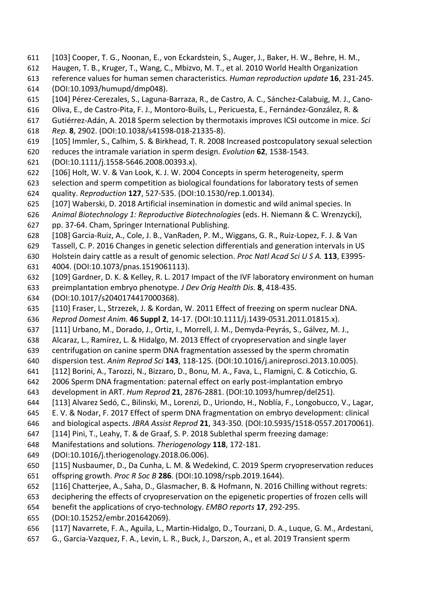- [103] Cooper, T. G., Noonan, E., von Eckardstein, S., Auger, J., Baker, H. W., Behre, H. M.,
- Haugen, T. B., Kruger, T., Wang, C., Mbizvo, M. T., et al. 2010 World Health Organization
- reference values for human semen characteristics. *Human reproduction update* **16**, 231-245. (DOI:10.1093/humupd/dmp048).
- [104] Pérez-Cerezales, S., Laguna-Barraza, R., de Castro, A. C., Sánchez-Calabuig, M. J., Cano-
- Oliva, E., de Castro-Pita, F. J., Montoro-Buils, L., Pericuesta, E., Fernández-González, R. &
- Gutiérrez-Adán, A. 2018 Sperm selection by thermotaxis improves ICSI outcome in mice. *Sci*
- *Rep.* **8**, 2902. (DOI:10.1038/s41598-018-21335-8).
- [105] Immler, S., Calhim, S. & Birkhead, T. R. 2008 Increased postcopulatory sexual selection
- reduces the intramale variation in sperm design. *Evolution* **62**, 1538-1543.
- (DOI:10.1111/j.1558-5646.2008.00393.x).
- [106] Holt, W. V. & Van Look, K. J. W. 2004 Concepts in sperm heterogeneity, sperm
- selection and sperm competition as biological foundations for laboratory tests of semen quality. *Reproduction* **127**, 527-535. (DOI:10.1530/rep.1.00134).
- [107] Waberski, D. 2018 Artificial insemination in domestic and wild animal species. In
- *Animal Biotechnology 1: Reproductive Biotechnologies* (eds. H. Niemann & C. Wrenzycki), pp. 37-64. Cham, Springer International Publishing.
- [108] Garcia-Ruiz, A., Cole, J. B., VanRaden, P. M., Wiggans, G. R., Ruiz-Lopez, F. J. & Van
- Tassell, C. P. 2016 Changes in genetic selection differentials and generation intervals in US
- Holstein dairy cattle as a result of genomic selection. *Proc Natl Acad Sci U S A.* **113**, E3995-
- 4004. (DOI:10.1073/pnas.1519061113).
- [109] Gardner, D. K. & Kelley, R. L. 2017 Impact of the IVF laboratory environment on human
- preimplantation embryo phenotype. *J Dev Orig Health Dis.* **8**, 418-435.
- (DOI:10.1017/s2040174417000368).
- [110] Fraser, L., Strzezek, J. & Kordan, W. 2011 Effect of freezing on sperm nuclear DNA.
- *Reprod Domest Anim.* **46 Suppl 2**, 14-17. (DOI:10.1111/j.1439-0531.2011.01815.x).
- [111] Urbano, M., Dorado, J., Ortiz, I., Morrell, J. M., Demyda-Peyrás, S., Gálvez, M. J.,
- Alcaraz, L., Ramírez, L. & Hidalgo, M. 2013 Effect of cryopreservation and single layer
- centrifugation on canine sperm DNA fragmentation assessed by the sperm chromatin
- dispersion test. *Anim Reprod Sci* **143**, 118-125. (DOI:10.1016/j.anireprosci.2013.10.005).
- [112] Borini, A., Tarozzi, N., Bizzaro, D., Bonu, M. A., Fava, L., Flamigni, C. & Coticchio, G.
- 2006 Sperm DNA fragmentation: paternal effect on early post-implantation embryo
- development in ART. *Hum Reprod* **21**, 2876-2881. (DOI:10.1093/humrep/del251).
- [113] Alvarez Sedó, C., Bilinski, M., Lorenzi, D., Uriondo, H., Noblía, F., Longobucco, V., Lagar,
- E. V. & Nodar, F. 2017 Effect of sperm DNA fragmentation on embryo development: clinical
- and biological aspects. *JBRA Assist Reprod* **21**, 343-350. (DOI:10.5935/1518-0557.20170061).
- [114] Pini, T., Leahy, T. & de Graaf, S. P. 2018 Sublethal sperm freezing damage:
- Manifestations and solutions. *Theriogenology* **118**, 172-181.
- (DOI:10.1016/j.theriogenology.2018.06.006).
- [115] Nusbaumer, D., Da Cunha, L. M. & Wedekind, C. 2019 Sperm cryopreservation reduces offspring growth. *Proc R Soc B* **286**. (DOI:10.1098/rspb.2019.1644).
- [116] Chatterjee, A., Saha, D., Glasmacher, B. & Hofmann, N. 2016 Chilling without regrets:
- deciphering the effects of cryopreservation on the epigenetic properties of frozen cells will
- benefit the applications of cryo-technology. *EMBO reports* **17**, 292-295.
- (DOI:10.15252/embr.201642069).
- [117] Navarrete, F. A., Aguila, L., Martin-Hidalgo, D., Tourzani, D. A., Luque, G. M., Ardestani,
- G., Garcia-Vazquez, F. A., Levin, L. R., Buck, J., Darszon, A., et al. 2019 Transient sperm